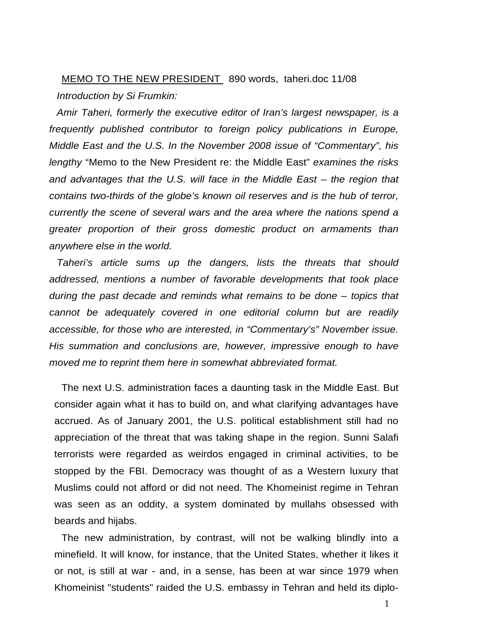## MEMO TO THE NEW PRESIDENT 890 words, taheri.doc 11/08 *Introduction by Si Frumkin:*

*Amir Taheri, formerly the executive editor of Iran's largest newspaper, is a frequently published contributor to foreign policy publications in Europe, Middle East and the U.S. In the November 2008 issue of "Commentary", his lengthy* "Memo to the New President re: the Middle East" *examines the risks and advantages that the U.S. will face in the Middle East – the region that contains two-thirds of the globe's known oil reserves and is the hub of terror, currently the scene of several wars and the area where the nations spend a greater proportion of their gross domestic product on armaments than anywhere else in the world.* 

*Taheri's article sums up the dangers, lists the threats that should addressed, mentions a number of favorable developments that took place during the past decade and reminds what remains to be done – topics that cannot be adequately covered in one editorial column but are readily accessible, for those who are interested, in "Commentary's" November issue. His summation and conclusions are, however, impressive enough to have moved me to reprint them here in somewhat abbreviated format.* 

The next U.S. administration faces a daunting task in the Middle East. But consider again what it has to build on, and what clarifying advantages have accrued. As of January 2001, the U.S. political establishment still had no appreciation of the threat that was taking shape in the region. Sunni Salafi terrorists were regarded as weirdos engaged in criminal activities, to be stopped by the FBI. Democracy was thought of as a Western luxury that Muslims could not afford or did not need. The Khomeinist regime in Tehran was seen as an oddity, a system dominated by mullahs obsessed with beards and hijabs.

The new administration, by contrast, will not be walking blindly into a minefield. It will know, for instance, that the United States, whether it likes it or not, is still at war - and, in a sense, has been at war since 1979 when Khomeinist "students" raided the U.S. embassy in Tehran and held its diplo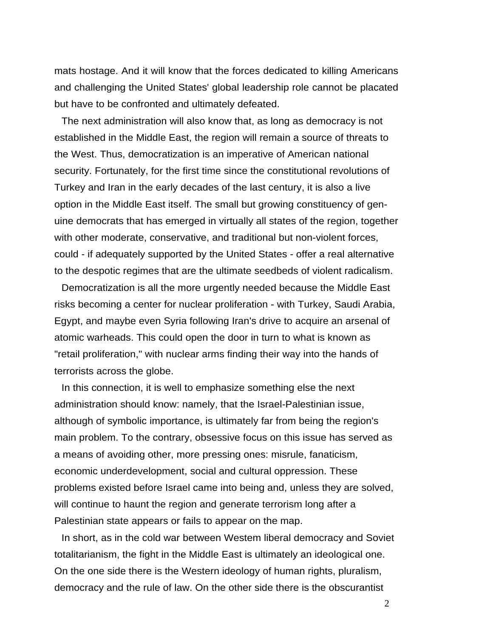mats hostage. And it will know that the forces dedicated to killing Americans and challenging the United States' global leadership role cannot be placated but have to be confronted and ultimately defeated.

The next administration will also know that, as long as democracy is not established in the Middle East, the region will remain a source of threats to the West. Thus, democratization is an imperative of American national security. Fortunately, for the first time since the constitutional revolutions of Turkey and Iran in the early decades of the last century, it is also a live option in the Middle East itself. The small but growing constituency of genuine democrats that has emerged in virtually all states of the region, together with other moderate, conservative, and traditional but non-violent forces, could - if adequately supported by the United States - offer a real alternative to the despotic regimes that are the ultimate seedbeds of violent radicalism.

Democratization is all the more urgently needed because the Middle East risks becoming a center for nuclear proliferation - with Turkey, Saudi Arabia, Egypt, and maybe even Syria following Iran's drive to acquire an arsenal of atomic warheads. This could open the door in turn to what is known as "retail proliferation," with nuclear arms finding their way into the hands of terrorists across the globe.

In this connection, it is well to emphasize something else the next administration should know: namely, that the Israel-Palestinian issue, although of symbolic importance, is ultimately far from being the region's main problem. To the contrary, obsessive focus on this issue has served as a means of avoiding other, more pressing ones: misrule, fanaticism, economic underdevelopment, social and cultural oppression. These problems existed before Israel came into being and, unless they are solved, will continue to haunt the region and generate terrorism long after a Palestinian state appears or fails to appear on the map.

In short, as in the cold war between Westem liberal democracy and Soviet totalitarianism, the fight in the Middle East is ultimately an ideological one. On the one side there is the Western ideology of human rights, pluralism, democracy and the rule of law. On the other side there is the obscurantist

2